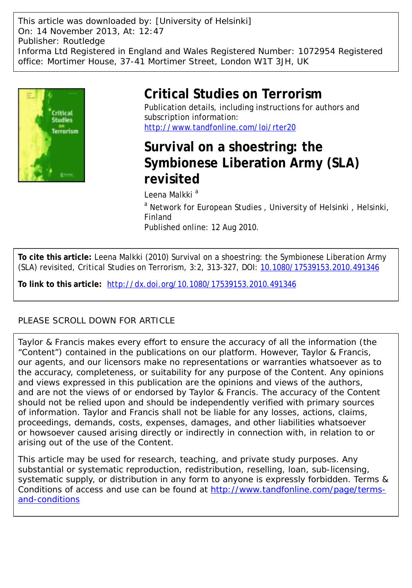This article was downloaded by: [University of Helsinki] On: 14 November 2013, At: 12:47 Publisher: Routledge Informa Ltd Registered in England and Wales Registered Number: 1072954 Registered office: Mortimer House, 37-41 Mortimer Street, London W1T 3JH, UK



# **Critical Studies on Terrorism**

Publication details, including instructions for authors and subscription information: <http://www.tandfonline.com/loi/rter20>

# **Survival on a shoestring: the Symbionese Liberation Army (SLA) revisited**

Leena Malkki<sup>a</sup>

<sup>a</sup> Network for European Studies, University of Helsinki, Helsinki, Finland Published online: 12 Aug 2010.

**To cite this article:** Leena Malkki (2010) Survival on a shoestring: the Symbionese Liberation Army (SLA) revisited, Critical Studies on Terrorism, 3:2, 313-327, DOI: [10.1080/17539153.2010.491346](http://www.tandfonline.com/action/showCitFormats?doi=10.1080/17539153.2010.491346)

**To link to this article:** <http://dx.doi.org/10.1080/17539153.2010.491346>

# PLEASE SCROLL DOWN FOR ARTICLE

Taylor & Francis makes every effort to ensure the accuracy of all the information (the "Content") contained in the publications on our platform. However, Taylor & Francis, our agents, and our licensors make no representations or warranties whatsoever as to the accuracy, completeness, or suitability for any purpose of the Content. Any opinions and views expressed in this publication are the opinions and views of the authors, and are not the views of or endorsed by Taylor & Francis. The accuracy of the Content should not be relied upon and should be independently verified with primary sources of information. Taylor and Francis shall not be liable for any losses, actions, claims, proceedings, demands, costs, expenses, damages, and other liabilities whatsoever or howsoever caused arising directly or indirectly in connection with, in relation to or arising out of the use of the Content.

This article may be used for research, teaching, and private study purposes. Any substantial or systematic reproduction, redistribution, reselling, loan, sub-licensing, systematic supply, or distribution in any form to anyone is expressly forbidden. Terms & Conditions of access and use can be found at [http://www.tandfonline.com/page/terms](http://www.tandfonline.com/page/terms-and-conditions)[and-conditions](http://www.tandfonline.com/page/terms-and-conditions)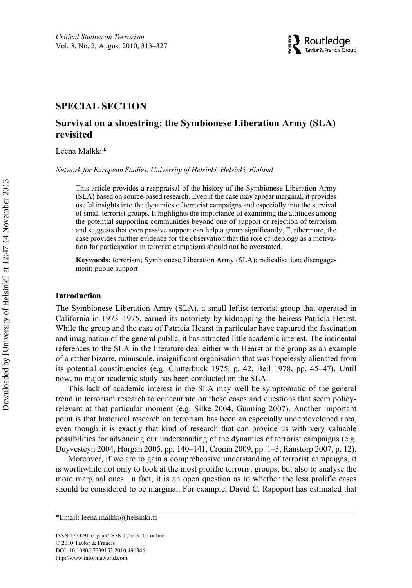

## RTER 1753-9153 1753-9161Critical Studies on Terrorism, Vol. 3, No. 2, Sep 2010: pp. 0–0 on Terrorism **SPECIAL SECTION**

# **Survival on a shoestring: the Symbionese Liberation Army (SLA) revisited**

Leena Malkki\*

*Network for European Studies, University of Helsinki, Helsinki, Finland*

This article provides a reappraisal of the history of the Symbionese Liberation Army (SLA) based on source-based research. Even if the case may appear marginal, it provides useful insights into the dynamics of terrorist campaigns and especially into the survival of small terrorist groups. It highlights the importance of examining the attitudes among the potential supporting communities beyond one of support or rejection of terrorism and suggests that even passive support can help a group significantly. Furthermore, the case provides further evidence for the observation that the role of ideology as a motivation for participation in terrorist campaigns should not be overstated.

**Keywords:** terrorism; Symbionese Liberation Army (SLA); radicalisation; disengagement; public support

### **Introduction**

The Symbionese Liberation Army (SLA), a small leftist terrorist group that operated in California in 1973–1975, earned its notoriety by kidnapping the heiress Patricia Hearst. While the group and the case of Patricia Hearst in particular have captured the fascination and imagination of the general public, it has attracted little academic interest. The incidental references to the SLA in the literature deal either with Hearst or the group as an example of a rather bizarre, minuscule, insignificant organisation that was hopelessly alienated from its potential constituencies (e.g. Clutterbuck 1975, p. 42, Bell 1978, pp. 45–47). Until now, no major academic study has been conducted on the SLA.

This lack of academic interest in the SLA may well be symptomatic of the general trend in terrorism research to concentrate on those cases and questions that seem policyrelevant at that particular moment (e.g. Silke 2004, Gunning 2007). Another important point is that historical research on terrorism has been an especially underdeveloped area, even though it is exactly that kind of research that can provide us with very valuable possibilities for advancing our understanding of the dynamics of terrorist campaigns (e.g. Duyvesteyn 2004, Horgan 2005, pp. 140–141, Cronin 2009, pp. 1–3, Ranstorp 2007, p. 12).

Moreover, if we are to gain a comprehensive understanding of terrorist campaigns, it is worthwhile not only to look at the most prolific terrorist groups, but also to analyse the more marginal ones. In fact, it is an open question as to whether the less prolific cases should be considered to be marginal. For example, David C. Rapoport has estimated that

ISSN 1753-9153 print/ISSN 1753-9161 online © 2010 Taylor & Francis DOI: 10.1080/17539153.2010.491346 <http://www.informaworld.com>

<sup>\*</sup>Email: leena[.malkki@helsinki.fi](mailto:malkki@helsinki.fi)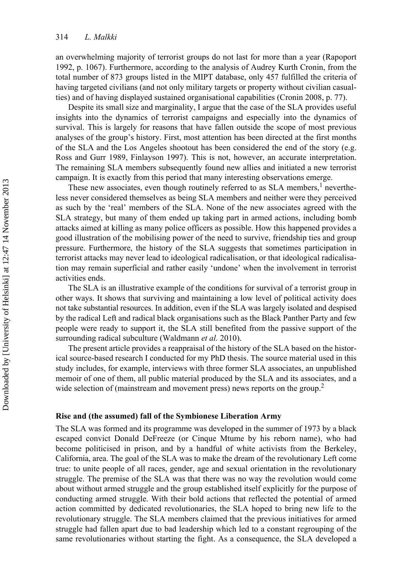an overwhelming majority of terrorist groups do not last for more than a year (Rapoport 1992, p. 1067). Furthermore, according to the analysis of Audrey Kurth Cronin, from the total number of 873 groups listed in the MIPT database, only 457 fulfilled the criteria of having targeted civilians (and not only military targets or property without civilian casualties) and of having displayed sustained organisational capabilities (Cronin 2008, p. 77).

Despite its small size and marginality, I argue that the case of the SLA provides useful insights into the dynamics of terrorist campaigns and especially into the dynamics of survival. This is largely for reasons that have fallen outside the scope of most previous analyses of the group's history. First, most attention has been directed at the first months of the SLA and the Los Angeles shootout has been considered the end of the story (e.g. Ross and Gurr 1989, Finlayson 1997). This is not, however, an accurate interpretation. The remaining SLA members subsequently found new allies and initiated a new terrorist campaign. It is exactly from this period that many interesting observations emerge.

These new associates, even though routinely referred to as SLA members,<sup>1</sup> nevertheless never considered themselves as being SLA members and neither were they perceived as such by the 'real' members of the SLA. None of the new associates agreed with the SLA strategy, but many of them ended up taking part in armed actions, including bomb attacks aimed at killing as many police officers as possible. How this happened provides a good illustration of the mobilising power of the need to survive, friendship ties and group pressure. Furthermore, the history of the SLA suggests that sometimes participation in terrorist attacks may never lead to ideological radicalisation, or that ideological radicalisation may remain superficial and rather easily 'undone' when the involvement in terrorist activities ends.

The SLA is an illustrative example of the conditions for survival of a terrorist group in other ways. It shows that surviving and maintaining a low level of political activity does not take substantial resources. In addition, even if the SLA was largely isolated and despised by the radical Left and radical black organisations such as the Black Panther Party and few people were ready to support it, the SLA still benefited from the passive support of the surrounding radical subculture (Waldmann *et al.* 2010).

The present article provides a reappraisal of the history of the SLA based on the historical source-based research I conducted for my PhD thesis. The source material used in this study includes, for example, interviews with three former SLA associates, an unpublished memoir of one of them, all public material produced by the SLA and its associates, and a wide selection of (mainstream and movement press) news reports on the group.<sup>2</sup>

### **Rise and (the assumed) fall of the Symbionese Liberation Army**

The SLA was formed and its programme was developed in the summer of 1973 by a black escaped convict Donald DeFreeze (or Cinque Mtume by his reborn name), who had become politicised in prison, and by a handful of white activists from the Berkeley, California, area. The goal of the SLA was to make the dream of the revolutionary Left come true: to unite people of all races, gender, age and sexual orientation in the revolutionary struggle. The premise of the SLA was that there was no way the revolution would come about without armed struggle and the group established itself explicitly for the purpose of conducting armed struggle. With their bold actions that reflected the potential of armed action committed by dedicated revolutionaries, the SLA hoped to bring new life to the revolutionary struggle. The SLA members claimed that the previous initiatives for armed struggle had fallen apart due to bad leadership which led to a constant regrouping of the same revolutionaries without starting the fight. As a consequence, the SLA developed a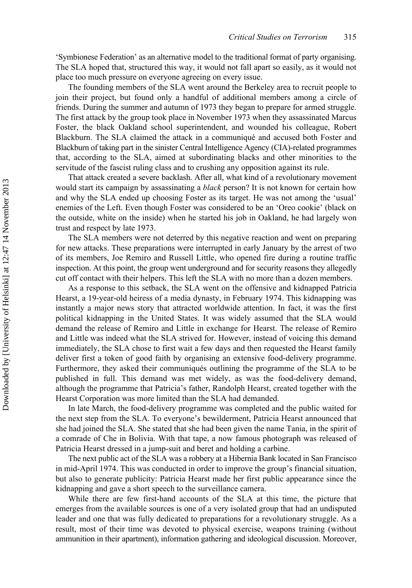'Symbionese Federation' as an alternative model to the traditional format of party organising. The SLA hoped that, structured this way, it would not fall apart so easily, as it would not place too much pressure on everyone agreeing on every issue.

The founding members of the SLA went around the Berkeley area to recruit people to join their project, but found only a handful of additional members among a circle of friends. During the summer and autumn of 1973 they began to prepare for armed struggle. The first attack by the group took place in November 1973 when they assassinated Marcus Foster, the black Oakland school superintendent, and wounded his colleague, Robert Blackburn. The SLA claimed the attack in a communiqué and accused both Foster and Blackburn of taking part in the sinister Central Intelligence Agency (CIA)-related programmes that, according to the SLA, aimed at subordinating blacks and other minorities to the servitude of the fascist ruling class and to crushing any opposition against its rule.

That attack created a severe backlash. After all, what kind of a revolutionary movement would start its campaign by assassinating a *black* person? It is not known for certain how and why the SLA ended up choosing Foster as its target. He was not among the 'usual' enemies of the Left. Even though Foster was considered to be an 'Oreo cookie' (black on the outside, white on the inside) when he started his job in Oakland, he had largely won trust and respect by late 1973.

The SLA members were not deterred by this negative reaction and went on preparing for new attacks. These preparations were interrupted in early January by the arrest of two of its members, Joe Remiro and Russell Little, who opened fire during a routine traffic inspection. At this point, the group went underground and for security reasons they allegedly cut off contact with their helpers. This left the SLA with no more than a dozen members.

As a response to this setback, the SLA went on the offensive and kidnapped Patricia Hearst, a 19-year-old heiress of a media dynasty, in February 1974. This kidnapping was instantly a major news story that attracted worldwide attention. In fact, it was the first political kidnapping in the United States. It was widely assumed that the SLA would demand the release of Remiro and Little in exchange for Hearst. The release of Remiro and Little was indeed what the SLA strived for. However, instead of voicing this demand immediately, the SLA chose to first wait a few days and then requested the Hearst family deliver first a token of good faith by organising an extensive food-delivery programme. Furthermore, they asked their communiqués outlining the programme of the SLA to be published in full. This demand was met widely, as was the food-delivery demand, although the programme that Patricia's father, Randolph Hearst, created together with the Hearst Corporation was more limited than the SLA had demanded.

In late March, the food-delivery programme was completed and the public waited for the next step from the SLA. To everyone's bewilderment, Patricia Hearst announced that she had joined the SLA. She stated that she had been given the name Tania, in the spirit of a comrade of Che in Bolivia. With that tape, a now famous photograph was released of Patricia Hearst dressed in a jump-suit and beret and holding a carbine.

The next public act of the SLA was a robbery at a Hibernia Bank located in San Francisco in mid-April 1974. This was conducted in order to improve the group's financial situation, but also to generate publicity: Patricia Hearst made her first public appearance since the kidnapping and gave a short speech to the surveillance camera.

While there are few first-hand accounts of the SLA at this time, the picture that emerges from the available sources is one of a very isolated group that had an undisputed leader and one that was fully dedicated to preparations for a revolutionary struggle. As a result, most of their time was devoted to physical exercise, weapons training (without ammunition in their apartment), information gathering and ideological discussion. Moreover,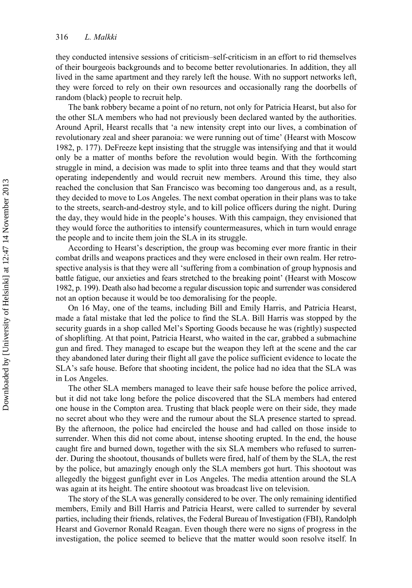they conducted intensive sessions of criticism–self-criticism in an effort to rid themselves of their bourgeois backgrounds and to become better revolutionaries. In addition, they all lived in the same apartment and they rarely left the house. With no support networks left, they were forced to rely on their own resources and occasionally rang the doorbells of random (black) people to recruit help.

The bank robbery became a point of no return, not only for Patricia Hearst, but also for the other SLA members who had not previously been declared wanted by the authorities. Around April, Hearst recalls that 'a new intensity crept into our lives, a combination of revolutionary zeal and sheer paranoia: we were running out of time' (Hearst with Moscow 1982, p. 177). DeFreeze kept insisting that the struggle was intensifying and that it would only be a matter of months before the revolution would begin. With the forthcoming struggle in mind, a decision was made to split into three teams and that they would start operating independently and would recruit new members. Around this time, they also reached the conclusion that San Francisco was becoming too dangerous and, as a result, they decided to move to Los Angeles. The next combat operation in their plans was to take to the streets, search-and-destroy style, and to kill police officers during the night. During the day, they would hide in the people's houses. With this campaign, they envisioned that they would force the authorities to intensify countermeasures, which in turn would enrage the people and to incite them join the SLA in its struggle.

According to Hearst's description, the group was becoming ever more frantic in their combat drills and weapons practices and they were enclosed in their own realm. Her retrospective analysis is that they were all 'suffering from a combination of group hypnosis and battle fatigue, our anxieties and fears stretched to the breaking point' (Hearst with Moscow 1982, p. 199). Death also had become a regular discussion topic and surrender was considered not an option because it would be too demoralising for the people.

On 16 May, one of the teams, including Bill and Emily Harris, and Patricia Hearst, made a fatal mistake that led the police to find the SLA. Bill Harris was stopped by the security guards in a shop called Mel's Sporting Goods because he was (rightly) suspected of shoplifting. At that point, Patricia Hearst, who waited in the car, grabbed a submachine gun and fired. They managed to escape but the weapon they left at the scene and the car they abandoned later during their flight all gave the police sufficient evidence to locate the SLA's safe house. Before that shooting incident, the police had no idea that the SLA was in Los Angeles.

The other SLA members managed to leave their safe house before the police arrived, but it did not take long before the police discovered that the SLA members had entered one house in the Compton area. Trusting that black people were on their side, they made no secret about who they were and the rumour about the SLA presence started to spread. By the afternoon, the police had encircled the house and had called on those inside to surrender. When this did not come about, intense shooting erupted. In the end, the house caught fire and burned down, together with the six SLA members who refused to surrender. During the shootout, thousands of bullets were fired, half of them by the SLA, the rest by the police, but amazingly enough only the SLA members got hurt. This shootout was allegedly the biggest gunfight ever in Los Angeles. The media attention around the SLA was again at its height. The entire shootout was broadcast live on television.

The story of the SLA was generally considered to be over. The only remaining identified members, Emily and Bill Harris and Patricia Hearst, were called to surrender by several parties, including their friends, relatives, the Federal Bureau of Investigation (FBI), Randolph Hearst and Governor Ronald Reagan. Even though there were no signs of progress in the investigation, the police seemed to believe that the matter would soon resolve itself. In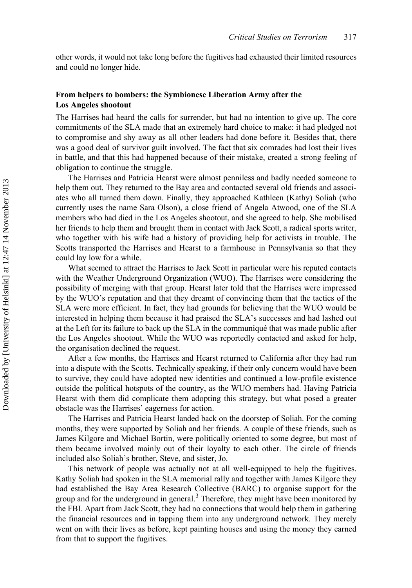other words, it would not take long before the fugitives had exhausted their limited resources and could no longer hide.

## **From helpers to bombers: the Symbionese Liberation Army after the Los Angeles shootout**

The Harrises had heard the calls for surrender, but had no intention to give up. The core commitments of the SLA made that an extremely hard choice to make: it had pledged not to compromise and shy away as all other leaders had done before it. Besides that, there was a good deal of survivor guilt involved. The fact that six comrades had lost their lives in battle, and that this had happened because of their mistake, created a strong feeling of obligation to continue the struggle.

The Harrises and Patricia Hearst were almost penniless and badly needed someone to help them out. They returned to the Bay area and contacted several old friends and associates who all turned them down. Finally, they approached Kathleen (Kathy) Soliah (who currently uses the name Sara Olson), a close friend of Angela Atwood, one of the SLA members who had died in the Los Angeles shootout, and she agreed to help. She mobilised her friends to help them and brought them in contact with Jack Scott, a radical sports writer, who together with his wife had a history of providing help for activists in trouble. The Scotts transported the Harrises and Hearst to a farmhouse in Pennsylvania so that they could lay low for a while.

What seemed to attract the Harrises to Jack Scott in particular were his reputed contacts with the Weather Underground Organization (WUO). The Harrises were considering the possibility of merging with that group. Hearst later told that the Harrises were impressed by the WUO's reputation and that they dreamt of convincing them that the tactics of the SLA were more efficient. In fact, they had grounds for believing that the WUO would be interested in helping them because it had praised the SLA's successes and had lashed out at the Left for its failure to back up the SLA in the communiqué that was made public after the Los Angeles shootout. While the WUO was reportedly contacted and asked for help, the organisation declined the request.

After a few months, the Harrises and Hearst returned to California after they had run into a dispute with the Scotts. Technically speaking, if their only concern would have been to survive, they could have adopted new identities and continued a low-profile existence outside the political hotspots of the country, as the WUO members had. Having Patricia Hearst with them did complicate them adopting this strategy, but what posed a greater obstacle was the Harrises' eagerness for action.

The Harrises and Patricia Hearst landed back on the doorstep of Soliah. For the coming months, they were supported by Soliah and her friends. A couple of these friends, such as James Kilgore and Michael Bortin, were politically oriented to some degree, but most of them became involved mainly out of their loyalty to each other. The circle of friends included also Soliah's brother, Steve, and sister, Jo.

This network of people was actually not at all well-equipped to help the fugitives. Kathy Soliah had spoken in the SLA memorial rally and together with James Kilgore they had established the Bay Area Research Collective (BARC) to organise support for the group and for the underground in general.<sup>3</sup> Therefore, they might have been monitored by the FBI. Apart from Jack Scott, they had no connections that would help them in gathering the financial resources and in tapping them into any underground network. They merely went on with their lives as before, kept painting houses and using the money they earned from that to support the fugitives.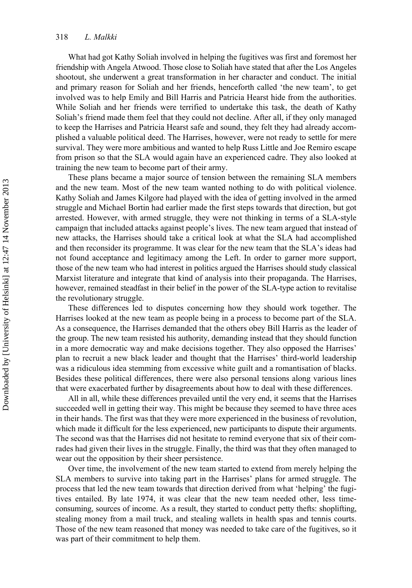What had got Kathy Soliah involved in helping the fugitives was first and foremost her friendship with Angela Atwood. Those close to Soliah have stated that after the Los Angeles shootout, she underwent a great transformation in her character and conduct. The initial and primary reason for Soliah and her friends, henceforth called 'the new team', to get involved was to help Emily and Bill Harris and Patricia Hearst hide from the authorities. While Soliah and her friends were terrified to undertake this task, the death of Kathy Soliah's friend made them feel that they could not decline. After all, if they only managed to keep the Harrises and Patricia Hearst safe and sound, they felt they had already accomplished a valuable political deed. The Harrises, however, were not ready to settle for mere survival. They were more ambitious and wanted to help Russ Little and Joe Remiro escape from prison so that the SLA would again have an experienced cadre. They also looked at training the new team to become part of their army.

These plans became a major source of tension between the remaining SLA members and the new team. Most of the new team wanted nothing to do with political violence. Kathy Soliah and James Kilgore had played with the idea of getting involved in the armed struggle and Michael Bortin had earlier made the first steps towards that direction, but got arrested. However, with armed struggle, they were not thinking in terms of a SLA-style campaign that included attacks against people's lives. The new team argued that instead of new attacks, the Harrises should take a critical look at what the SLA had accomplished and then reconsider its programme. It was clear for the new team that the SLA's ideas had not found acceptance and legitimacy among the Left. In order to garner more support, those of the new team who had interest in politics argued the Harrises should study classical Marxist literature and integrate that kind of analysis into their propaganda. The Harrises, however, remained steadfast in their belief in the power of the SLA-type action to revitalise the revolutionary struggle.

These differences led to disputes concerning how they should work together. The Harrises looked at the new team as people being in a process to become part of the SLA. As a consequence, the Harrises demanded that the others obey Bill Harris as the leader of the group. The new team resisted his authority, demanding instead that they should function in a more democratic way and make decisions together. They also opposed the Harrises' plan to recruit a new black leader and thought that the Harrises' third-world leadership was a ridiculous idea stemming from excessive white guilt and a romantisation of blacks. Besides these political differences, there were also personal tensions along various lines that were exacerbated further by disagreements about how to deal with these differences.

All in all, while these differences prevailed until the very end, it seems that the Harrises succeeded well in getting their way. This might be because they seemed to have three aces in their hands. The first was that they were more experienced in the business of revolution, which made it difficult for the less experienced, new participants to dispute their arguments. The second was that the Harrises did not hesitate to remind everyone that six of their comrades had given their lives in the struggle. Finally, the third was that they often managed to wear out the opposition by their sheer persistence.

Over time, the involvement of the new team started to extend from merely helping the SLA members to survive into taking part in the Harrises' plans for armed struggle. The process that led the new team towards that direction derived from what 'helping' the fugitives entailed. By late 1974, it was clear that the new team needed other, less timeconsuming, sources of income. As a result, they started to conduct petty thefts: shoplifting, stealing money from a mail truck, and stealing wallets in health spas and tennis courts. Those of the new team reasoned that money was needed to take care of the fugitives, so it was part of their commitment to help them.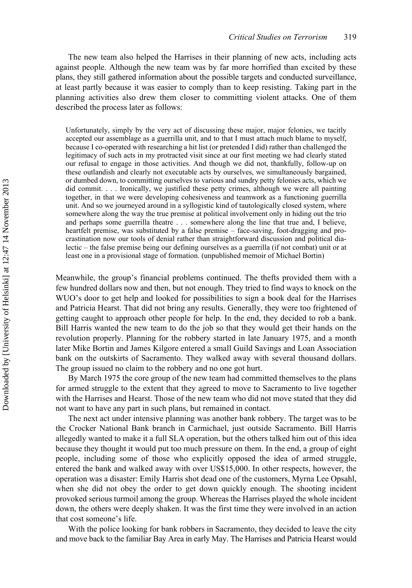The new team also helped the Harrises in their planning of new acts, including acts against people. Although the new team was by far more horrified than excited by these plans, they still gathered information about the possible targets and conducted surveillance, at least partly because it was easier to comply than to keep resisting. Taking part in the planning activities also drew them closer to committing violent attacks. One of them described the process later as follows:

Unfortunately, simply by the very act of discussing these major, major felonies, we tacitly accepted our assemblage as a guerrilla unit, and to that I must attach much blame to myself, because I co-operated with researching a hit list (or pretended I did) rather than challenged the legitimacy of such acts in my protracted visit since at our first meeting we had clearly stated our refusal to engage in those activities. And though we did not, thankfully, follow-up on these outlandish and clearly not executable acts by ourselves, we simultaneously bargained, or dumbed down, to committing ourselves to various and sundry petty felonies acts, which we did commit. . . . Ironically, we justified these petty crimes, although we were all painting together, in that we were developing cohesiveness and teamwork as a functioning guerrilla unit. And so we journeyed around in a syllogistic kind of tautologically closed system, where somewhere along the way the true premise at political involvement only in hiding out the trio and perhaps some guerrilla theatre . . . somewhere along the line that true and, I believe, heartfelt premise, was substituted by a false premise – face-saving, foot-dragging and procrastination now our tools of denial rather than straightforward discussion and political dialectic – the false premise being our defining ourselves as a guerrilla (if not combat) unit or at least one in a provisional stage of formation. (unpublished memoir of Michael Bortin)

Meanwhile, the group's financial problems continued. The thefts provided them with a few hundred dollars now and then, but not enough. They tried to find ways to knock on the WUO's door to get help and looked for possibilities to sign a book deal for the Harrises and Patricia Hearst. That did not bring any results. Generally, they were too frightened of getting caught to approach other people for help. In the end, they decided to rob a bank. Bill Harris wanted the new team to do the job so that they would get their hands on the revolution properly. Planning for the robbery started in late January 1975, and a month later Mike Bortin and James Kilgore entered a small Guild Savings and Loan Association bank on the outskirts of Sacramento. They walked away with several thousand dollars. The group issued no claim to the robbery and no one got hurt.

By March 1975 the core group of the new team had committed themselves to the plans for armed struggle to the extent that they agreed to move to Sacramento to live together with the Harrises and Hearst. Those of the new team who did not move stated that they did not want to have any part in such plans, but remained in contact.

The next act under intensive planning was another bank robbery. The target was to be the Crocker National Bank branch in Carmichael, just outside Sacramento. Bill Harris allegedly wanted to make it a full SLA operation, but the others talked him out of this idea because they thought it would put too much pressure on them. In the end, a group of eight people, including some of those who explicitly opposed the idea of armed struggle, entered the bank and walked away with over US\$15,000. In other respects, however, the operation was a disaster: Emily Harris shot dead one of the customers, Myrna Lee Opsahl, when she did not obey the order to get down quickly enough. The shooting incident provoked serious turmoil among the group. Whereas the Harrises played the whole incident down, the others were deeply shaken. It was the first time they were involved in an action that cost someone's life.

With the police looking for bank robbers in Sacramento, they decided to leave the city and move back to the familiar Bay Area in early May. The Harrises and Patricia Hearst would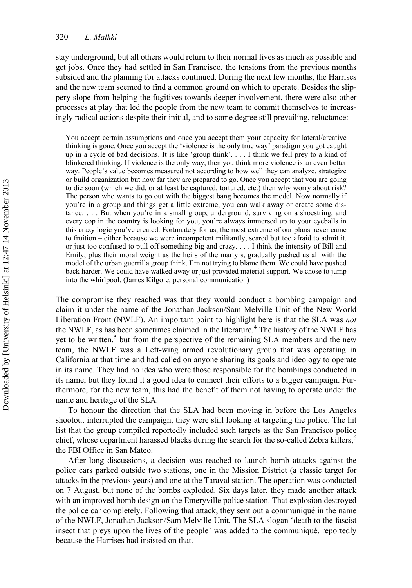stay underground, but all others would return to their normal lives as much as possible and get jobs. Once they had settled in San Francisco, the tensions from the previous months subsided and the planning for attacks continued. During the next few months, the Harrises and the new team seemed to find a common ground on which to operate. Besides the slippery slope from helping the fugitives towards deeper involvement, there were also other processes at play that led the people from the new team to commit themselves to increasingly radical actions despite their initial, and to some degree still prevailing, reluctance:

You accept certain assumptions and once you accept them your capacity for lateral/creative thinking is gone. Once you accept the 'violence is the only true way' paradigm you got caught up in a cycle of bad decisions. It is like 'group think'. . . . I think we fell prey to a kind of blinkered thinking. If violence is the only way, then you think more violence is an even better way. People's value becomes measured not according to how well they can analyze, strategize or build organization but how far they are prepared to go. Once you accept that you are going to die soon (which we did, or at least be captured, tortured, etc.) then why worry about risk? The person who wants to go out with the biggest bang becomes the model. Now normally if you're in a group and things get a little extreme, you can walk away or create some distance. . . . But when you're in a small group, underground, surviving on a shoestring, and every cop in the country is looking for you, you're always immersed up to your eyeballs in this crazy logic you've created. Fortunately for us, the most extreme of our plans never came to fruition – either because we were incompetent militantly, scared but too afraid to admit it, or just too confused to pull off something big and crazy. . . . I think the intensity of Bill and Emily, plus their moral weight as the heirs of the martyrs, gradually pushed us all with the model of the urban guerrilla group think. I'm not trying to blame them. We could have pushed back harder. We could have walked away or just provided material support. We chose to jump into the whirlpool. (James Kilgore, personal communication)

The compromise they reached was that they would conduct a bombing campaign and claim it under the name of the Jonathan Jackson/Sam Melville Unit of the New World Liberation Front (NWLF). An important point to highlight here is that the SLA was *not* the NWLF, as has been sometimes claimed in the literature.<sup>4</sup> The history of the NWLF has yet to be written,<sup>5</sup> but from the perspective of the remaining SLA members and the new team, the NWLF was a Left-wing armed revolutionary group that was operating in California at that time and had called on anyone sharing its goals and ideology to operate in its name. They had no idea who were those responsible for the bombings conducted in its name, but they found it a good idea to connect their efforts to a bigger campaign. Furthermore, for the new team, this had the benefit of them not having to operate under the name and heritage of the SLA.

To honour the direction that the SLA had been moving in before the Los Angeles shootout interrupted the campaign, they were still looking at targeting the police. The hit list that the group compiled reportedly included such targets as the San Francisco police chief, whose department harassed blacks during the search for the so-called Zebra killers,<sup>6</sup> the FBI Office in San Mateo.

After long discussions, a decision was reached to launch bomb attacks against the police cars parked outside two stations, one in the Mission District (a classic target for attacks in the previous years) and one at the Taraval station. The operation was conducted on 7 August, but none of the bombs exploded. Six days later, they made another attack with an improved bomb design on the Emeryville police station. That explosion destroyed the police car completely. Following that attack, they sent out a communiqué in the name of the NWLF, Jonathan Jackson/Sam Melville Unit. The SLA slogan 'death to the fascist insect that preys upon the lives of the people' was added to the communiqué, reportedly because the Harrises had insisted on that.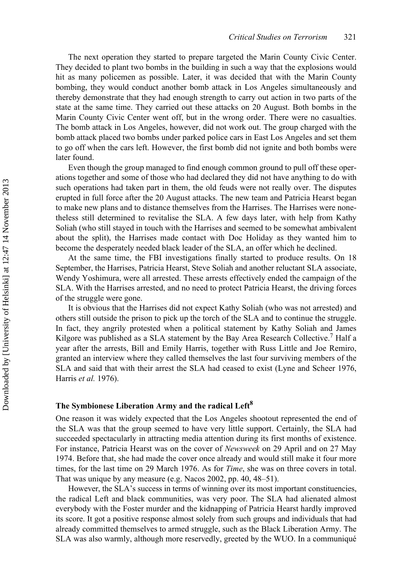The next operation they started to prepare targeted the Marin County Civic Center. They decided to plant two bombs in the building in such a way that the explosions would hit as many policemen as possible. Later, it was decided that with the Marin County bombing, they would conduct another bomb attack in Los Angeles simultaneously and thereby demonstrate that they had enough strength to carry out action in two parts of the state at the same time. They carried out these attacks on 20 August. Both bombs in the Marin County Civic Center went off, but in the wrong order. There were no casualties. The bomb attack in Los Angeles, however, did not work out. The group charged with the bomb attack placed two bombs under parked police cars in East Los Angeles and set them to go off when the cars left. However, the first bomb did not ignite and both bombs were later found.

Even though the group managed to find enough common ground to pull off these operations together and some of those who had declared they did not have anything to do with such operations had taken part in them, the old feuds were not really over. The disputes erupted in full force after the 20 August attacks. The new team and Patricia Hearst began to make new plans and to distance themselves from the Harrises. The Harrises were nonetheless still determined to revitalise the SLA. A few days later, with help from Kathy Soliah (who still stayed in touch with the Harrises and seemed to be somewhat ambivalent about the split), the Harrises made contact with Doc Holiday as they wanted him to become the desperately needed black leader of the SLA, an offer which he declined.

At the same time, the FBI investigations finally started to produce results. On 18 September, the Harrises, Patricia Hearst, Steve Soliah and another reluctant SLA associate, Wendy Yoshimura, were all arrested. These arrests effectively ended the campaign of the SLA. With the Harrises arrested, and no need to protect Patricia Hearst, the driving forces of the struggle were gone.

It is obvious that the Harrises did not expect Kathy Soliah (who was not arrested) and others still outside the prison to pick up the torch of the SLA and to continue the struggle. In fact, they angrily protested when a political statement by Kathy Soliah and James Kilgore was published as a SLA statement by the Bay Area Research Collective.<sup>7</sup> Half a year after the arrests, Bill and Emily Harris, together with Russ Little and Joe Remiro, granted an interview where they called themselves the last four surviving members of the SLA and said that with their arrest the SLA had ceased to exist (Lyne and Scheer 1976, Harris *et al.* 1976).

## **The Symbionese Liberation Army and the radical Left<sup>8</sup>**

One reason it was widely expected that the Los Angeles shootout represented the end of the SLA was that the group seemed to have very little support. Certainly, the SLA had succeeded spectacularly in attracting media attention during its first months of existence. For instance, Patricia Hearst was on the cover of *Newsweek* on 29 April and on 27 May 1974. Before that, she had made the cover once already and would still make it four more times, for the last time on 29 March 1976. As for *Time*, she was on three covers in total. That was unique by any measure (e.g. Nacos 2002, pp. 40, 48–51).

However, the SLA's success in terms of winning over its most important constituencies, the radical Left and black communities, was very poor. The SLA had alienated almost everybody with the Foster murder and the kidnapping of Patricia Hearst hardly improved its score. It got a positive response almost solely from such groups and individuals that had already committed themselves to armed struggle, such as the Black Liberation Army. The SLA was also warmly, although more reservedly, greeted by the WUO. In a communiqué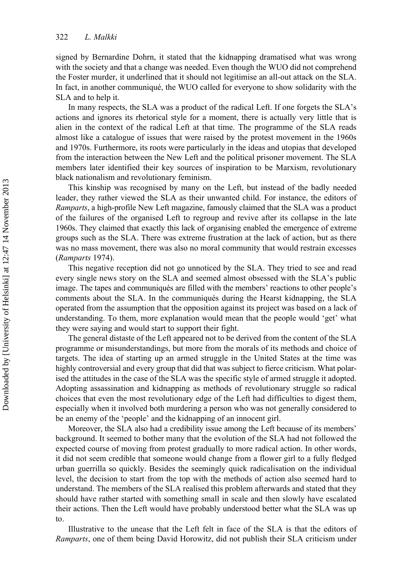signed by Bernardine Dohrn, it stated that the kidnapping dramatised what was wrong with the society and that a change was needed. Even though the WUO did not comprehend the Foster murder, it underlined that it should not legitimise an all-out attack on the SLA. In fact, in another communiqué, the WUO called for everyone to show solidarity with the SLA and to help it.

In many respects, the SLA was a product of the radical Left. If one forgets the SLA's actions and ignores its rhetorical style for a moment, there is actually very little that is alien in the context of the radical Left at that time. The programme of the SLA reads almost like a catalogue of issues that were raised by the protest movement in the 1960s and 1970s. Furthermore, its roots were particularly in the ideas and utopias that developed from the interaction between the New Left and the political prisoner movement. The SLA members later identified their key sources of inspiration to be Marxism, revolutionary black nationalism and revolutionary feminism.

This kinship was recognised by many on the Left, but instead of the badly needed leader, they rather viewed the SLA as their unwanted child. For instance, the editors of *Ramparts*, a high-profile New Left magazine, famously claimed that the SLA was a product of the failures of the organised Left to regroup and revive after its collapse in the late 1960s. They claimed that exactly this lack of organising enabled the emergence of extreme groups such as the SLA. There was extreme frustration at the lack of action, but as there was no mass movement, there was also no moral community that would restrain excesses (*Ramparts* 1974).

This negative reception did not go unnoticed by the SLA. They tried to see and read every single news story on the SLA and seemed almost obsessed with the SLA's public image. The tapes and communiqués are filled with the members' reactions to other people's comments about the SLA. In the communiqués during the Hearst kidnapping, the SLA operated from the assumption that the opposition against its project was based on a lack of understanding. To them, more explanation would mean that the people would 'get' what they were saying and would start to support their fight.

The general distaste of the Left appeared not to be derived from the content of the SLA programme or misunderstandings, but more from the morals of its methods and choice of targets. The idea of starting up an armed struggle in the United States at the time was highly controversial and every group that did that was subject to fierce criticism. What polarised the attitudes in the case of the SLA was the specific style of armed struggle it adopted. Adopting assassination and kidnapping as methods of revolutionary struggle so radical choices that even the most revolutionary edge of the Left had difficulties to digest them, especially when it involved both murdering a person who was not generally considered to be an enemy of the 'people' and the kidnapping of an innocent girl.

Moreover, the SLA also had a credibility issue among the Left because of its members' background. It seemed to bother many that the evolution of the SLA had not followed the expected course of moving from protest gradually to more radical action. In other words, it did not seem credible that someone would change from a flower girl to a fully fledged urban guerrilla so quickly. Besides the seemingly quick radicalisation on the individual level, the decision to start from the top with the methods of action also seemed hard to understand. The members of the SLA realised this problem afterwards and stated that they should have rather started with something small in scale and then slowly have escalated their actions. Then the Left would have probably understood better what the SLA was up to.

Illustrative to the unease that the Left felt in face of the SLA is that the editors of *Ramparts*, one of them being David Horowitz, did not publish their SLA criticism under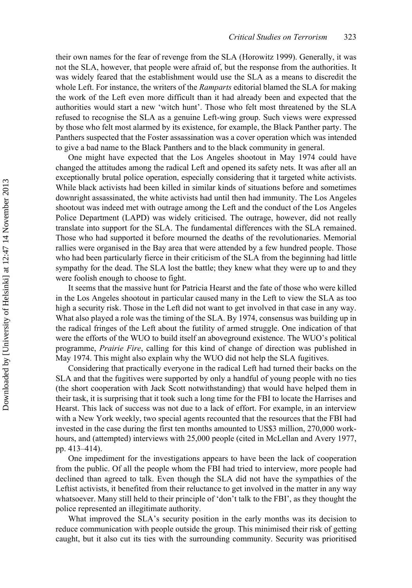their own names for the fear of revenge from the SLA (Horowitz 1999). Generally, it was not the SLA, however, that people were afraid of, but the response from the authorities. It was widely feared that the establishment would use the SLA as a means to discredit the whole Left. For instance, the writers of the *Ramparts* editorial blamed the SLA for making the work of the Left even more difficult than it had already been and expected that the authorities would start a new 'witch hunt'. Those who felt most threatened by the SLA refused to recognise the SLA as a genuine Left-wing group. Such views were expressed by those who felt most alarmed by its existence, for example, the Black Panther party. The Panthers suspected that the Foster assassination was a cover operation which was intended to give a bad name to the Black Panthers and to the black community in general.

One might have expected that the Los Angeles shootout in May 1974 could have changed the attitudes among the radical Left and opened its safety nets. It was after all an exceptionally brutal police operation, especially considering that it targeted white activists. While black activists had been killed in similar kinds of situations before and sometimes downright assassinated, the white activists had until then had immunity. The Los Angeles shootout was indeed met with outrage among the Left and the conduct of the Los Angeles Police Department (LAPD) was widely criticised. The outrage, however, did not really translate into support for the SLA. The fundamental differences with the SLA remained. Those who had supported it before mourned the deaths of the revolutionaries. Memorial rallies were organised in the Bay area that were attended by a few hundred people. Those who had been particularly fierce in their criticism of the SLA from the beginning had little sympathy for the dead. The SLA lost the battle; they knew what they were up to and they were foolish enough to choose to fight.

It seems that the massive hunt for Patricia Hearst and the fate of those who were killed in the Los Angeles shootout in particular caused many in the Left to view the SLA as too high a security risk. Those in the Left did not want to get involved in that case in any way. What also played a role was the timing of the SLA. By 1974, consensus was building up in the radical fringes of the Left about the futility of armed struggle. One indication of that were the efforts of the WUO to build itself an aboveground existence. The WUO's political programme, *Prairie Fire*, calling for this kind of change of direction was published in May 1974. This might also explain why the WUO did not help the SLA fugitives.

Considering that practically everyone in the radical Left had turned their backs on the SLA and that the fugitives were supported by only a handful of young people with no ties (the short cooperation with Jack Scott notwithstanding) that would have helped them in their task, it is surprising that it took such a long time for the FBI to locate the Harrises and Hearst. This lack of success was not due to a lack of effort. For example, in an interview with a New York weekly, two special agents recounted that the resources that the FBI had invested in the case during the first ten months amounted to US\$3 million, 270,000 workhours, and (attempted) interviews with 25,000 people (cited in McLellan and Avery 1977, pp. 413–414).

One impediment for the investigations appears to have been the lack of cooperation from the public. Of all the people whom the FBI had tried to interview, more people had declined than agreed to talk. Even though the SLA did not have the sympathies of the Leftist activists, it benefited from their reluctance to get involved in the matter in any way whatsoever. Many still held to their principle of 'don't talk to the FBI', as they thought the police represented an illegitimate authority.

What improved the SLA's security position in the early months was its decision to reduce communication with people outside the group. This minimised their risk of getting caught, but it also cut its ties with the surrounding community. Security was prioritised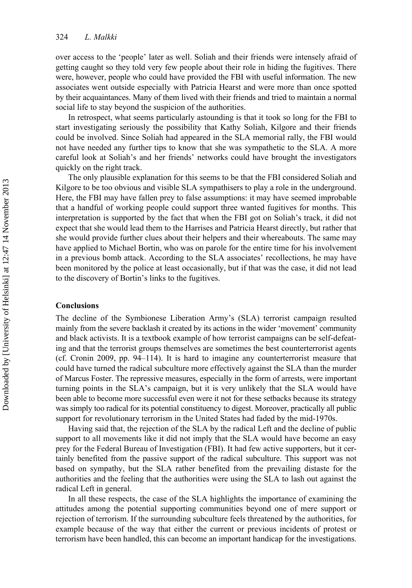over access to the 'people' later as well. Soliah and their friends were intensely afraid of getting caught so they told very few people about their role in hiding the fugitives. There were, however, people who could have provided the FBI with useful information. The new associates went outside especially with Patricia Hearst and were more than once spotted by their acquaintances. Many of them lived with their friends and tried to maintain a normal social life to stay beyond the suspicion of the authorities.

In retrospect, what seems particularly astounding is that it took so long for the FBI to start investigating seriously the possibility that Kathy Soliah, Kilgore and their friends could be involved. Since Soliah had appeared in the SLA memorial rally, the FBI would not have needed any further tips to know that she was sympathetic to the SLA. A more careful look at Soliah's and her friends' networks could have brought the investigators quickly on the right track.

The only plausible explanation for this seems to be that the FBI considered Soliah and Kilgore to be too obvious and visible SLA sympathisers to play a role in the underground. Here, the FBI may have fallen prey to false assumptions: it may have seemed improbable that a handful of working people could support three wanted fugitives for months. This interpretation is supported by the fact that when the FBI got on Soliah's track, it did not expect that she would lead them to the Harrises and Patricia Hearst directly, but rather that she would provide further clues about their helpers and their whereabouts. The same may have applied to Michael Bortin, who was on parole for the entire time for his involvement in a previous bomb attack. According to the SLA associates' recollections, he may have been monitored by the police at least occasionally, but if that was the case, it did not lead to the discovery of Bortin's links to the fugitives.

#### **Conclusions**

The decline of the Symbionese Liberation Army's (SLA) terrorist campaign resulted mainly from the severe backlash it created by its actions in the wider 'movement' community and black activists. It is a textbook example of how terrorist campaigns can be self-defeating and that the terrorist groups themselves are sometimes the best counterterrorist agents (cf. Cronin 2009, pp. 94–114). It is hard to imagine any counterterrorist measure that could have turned the radical subculture more effectively against the SLA than the murder of Marcus Foster. The repressive measures, especially in the form of arrests, were important turning points in the SLA's campaign, but it is very unlikely that the SLA would have been able to become more successful even were it not for these setbacks because its strategy was simply too radical for its potential constituency to digest. Moreover, practically all public support for revolutionary terrorism in the United States had faded by the mid-1970s.

Having said that, the rejection of the SLA by the radical Left and the decline of public support to all movements like it did not imply that the SLA would have become an easy prey for the Federal Bureau of Investigation (FBI). It had few active supporters, but it certainly benefited from the passive support of the radical subculture. This support was not based on sympathy, but the SLA rather benefited from the prevailing distaste for the authorities and the feeling that the authorities were using the SLA to lash out against the radical Left in general.

In all these respects, the case of the SLA highlights the importance of examining the attitudes among the potential supporting communities beyond one of mere support or rejection of terrorism. If the surrounding subculture feels threatened by the authorities, for example because of the way that either the current or previous incidents of protest or terrorism have been handled, this can become an important handicap for the investigations.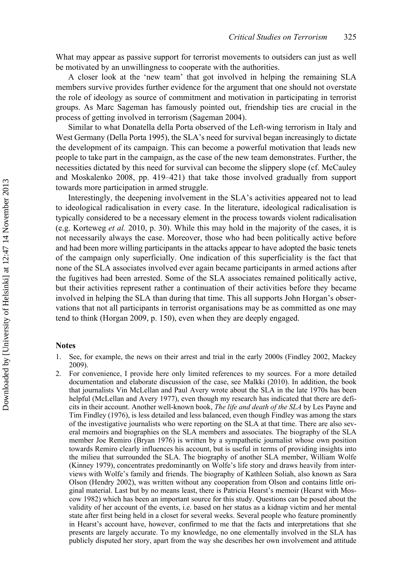What may appear as passive support for terrorist movements to outsiders can just as well be motivated by an unwillingness to cooperate with the authorities.

A closer look at the 'new team' that got involved in helping the remaining SLA members survive provides further evidence for the argument that one should not overstate the role of ideology as source of commitment and motivation in participating in terrorist groups. As Marc Sageman has famously pointed out, friendship ties are crucial in the process of getting involved in terrorism (Sageman 2004).

Similar to what Donatella della Porta observed of the Left-wing terrorism in Italy and West Germany (Della Porta 1995), the SLA's need for survival began increasingly to dictate the development of its campaign. This can become a powerful motivation that leads new people to take part in the campaign, as the case of the new team demonstrates. Further, the necessities dictated by this need for survival can become the slippery slope (cf. McCauley and Moskalenko 2008, pp. 419–421) that take those involved gradually from support towards more participation in armed struggle.

Interestingly, the deepening involvement in the SLA's activities appeared not to lead to ideological radicalisation in every case. In the literature, ideological radicalisation is typically considered to be a necessary element in the process towards violent radicalisation (e.g. Korteweg *et al.* 2010, p. 30). While this may hold in the majority of the cases, it is not necessarily always the case. Moreover, those who had been politically active before and had been more willing participants in the attacks appear to have adopted the basic tenets of the campaign only superficially. One indication of this superficiality is the fact that none of the SLA associates involved ever again became participants in armed actions after the fugitives had been arrested. Some of the SLA associates remained politically active, but their activities represent rather a continuation of their activities before they became involved in helping the SLA than during that time. This all supports John Horgan's observations that not all participants in terrorist organisations may be as committed as one may tend to think (Horgan 2009, p. 150), even when they are deeply engaged.

#### **Notes**

- 1. See, for example, the news on their arrest and trial in the early 2000s (Findley 2002, Mackey 2009).
- 2. For convenience, I provide here only limited references to my sources. For a more detailed documentation and elaborate discussion of the case, see Malkki (2010). In addition, the book that journalists Vin McLellan and Paul Avery wrote about the SLA in the late 1970s has been helpful (McLellan and Avery 1977), even though my research has indicated that there are deficits in their account. Another well-known book, *The life and death of the SLA* by Les Payne and Tim Findley (1976), is less detailed and less balanced, even though Findley was among the stars of the investigative journalists who were reporting on the SLA at that time. There are also several memoirs and biographies on the SLA members and associates. The biography of the SLA member Joe Remiro (Bryan 1976) is written by a sympathetic journalist whose own position towards Remiro clearly influences his account, but is useful in terms of providing insights into the milieu that surrounded the SLA. The biography of another SLA member, William Wolfe (Kinney 1979), concentrates predominantly on Wolfe's life story and draws heavily from interviews with Wolfe's family and friends. The biography of Kathleen Soliah, also known as Sara Olson (Hendry 2002), was written without any cooperation from Olson and contains little original material. Last but by no means least, there is Patricia Hearst's memoir (Hearst with Moscow 1982) which has been an important source for this study. Questions can be posed about the validity of her account of the events, i.e. based on her status as a kidnap victim and her mental state after first being held in a closet for several weeks. Several people who feature prominently in Hearst's account have, however, confirmed to me that the facts and interpretations that she presents are largely accurate. To my knowledge, no one elementally involved in the SLA has publicly disputed her story, apart from the way she describes her own involvement and attitude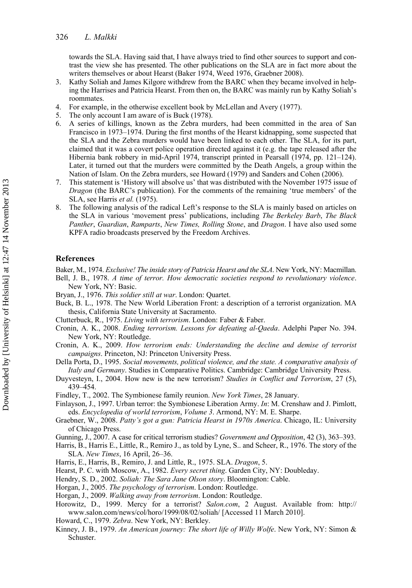towards the SLA. Having said that, I have always tried to find other sources to support and contrast the view she has presented. The other publications on the SLA are in fact more about the writers themselves or about Hearst (Baker 1974, Weed 1976, Graebner 2008).

- 3. Kathy Soliah and James Kilgore withdrew from the BARC when they became involved in helping the Harrises and Patricia Hearst. From then on, the BARC was mainly run by Kathy Soliah's roommates.
- 4. For example, in the otherwise excellent book by McLellan and Avery (1977).
- The only account I am aware of is Buck (1978).
- 6. A series of killings, known as the Zebra murders, had been committed in the area of San Francisco in 1973–1974. During the first months of the Hearst kidnapping, some suspected that the SLA and the Zebra murders would have been linked to each other. The SLA, for its part, claimed that it was a covert police operation directed against it (e.g. the tape released after the Hibernia bank robbery in mid-April 1974, transcript printed in Pearsall (1974, pp. 121–124). Later, it turned out that the murders were committed by the Death Angels, a group within the Nation of Islam. On the Zebra murders, see Howard (1979) and Sanders and Cohen (2006).
- 7. This statement is 'History will absolve us' that was distributed with the November 1975 issue of *Dragon* (the BARC's publication). For the comments of the remaining 'true members' of the SLA, see Harris *et al.* (1975).
- The following analysis of the radical Left's response to the SLA is mainly based on articles on the SLA in various 'movement press' publications, including *The Berkeley Barb*, *The Black Panther*, *Guardian*, *Ramparts*, *New Times, Rolling Stone*, and *Dragon*. I have also used some KPFA radio broadcasts preserved by the Freedom Archives.

#### **References**

Baker, M., 1974. *Exclusive! The inside story of Patricia Hearst and the SLA*. New York, NY: Macmillan.

- Bell, J. B., 1978. *A time of terror. How democratic societies respond to revolutionary violence*. New York, NY: Basic.
- Bryan, J., 1976. *This soldier still at war*. London: Quartet.
- Buck, B. L., 1978. The New World Liberation Front: a description of a terrorist organization. MA thesis, California State University at Sacramento.
- Clutterbuck, R., 1975. *Living with terrorism*. London: Faber & Faber.
- Cronin, A. K., 2008. *Ending terrorism. Lessons for defeating al-Qaeda*. Adelphi Paper No. 394. New York, NY: Routledge.
- Cronin, A. K., 2009. *How terrorism ends: Understanding the decline and demise of terrorist campaigns*. Princeton, NJ: Princeton University Press.
- Della Porta, D., 1995. *Social movements, political violence, and the state. A comparative analysis of Italy and Germany*. Studies in Comparative Politics. Cambridge: Cambridge University Press.
- Duyvesteyn, I., 2004. How new is the new terrorism? *Studies in Conflict and Terrorism*, 27 (5), 439–454.
- Findley, T., 2002. The Symbionese family reunion. *New York Times*, 28 January.
- Finlayson, J., 1997. Urban terror: the Symbionese Liberation Army. *In*: M. Crenshaw and J. Pimlott, eds. *Encyclopedia of world terrorism*, *Volume 3*. Armond, NY: M. E. Sharpe.
- Graebner, W., 2008. *Patty's got a gun: Patricia Hearst in 1970s America*. Chicago, IL: University of Chicago Press.
- Gunning, J., 2007. A case for critical terrorism studies? *Government and Opposition*, 42 (3), 363–393.
- Harris, B., Harris E., Little, R., Remiro J., as told by Lyne, S.. and Scheer, R., 1976. The story of the SLA. *New Times*, 16 April, 26–36.
- Harris, E., Harris, B., Remiro, J. and Little, R., 1975. SLA. *Dragon*, 5.
- Hearst, P. C. with Moscow, A., 1982. *Every secret thing*. Garden City, NY: Doubleday.
- Hendry, S. D., 2002. *Soliah: The Sara Jane Olson story*. Bloomington: Cable.
- Horgan, J., 2005. *The psychology of terrorism*. London: Routledge.
- Horgan, J., 2009. *Walking away from terrorism*. London: Routledge.
- Horowitz, D., 1999. Mercy for a terrorist? *Salon.com*, 2 August. Available from: [http://](http://www.salon.com/news/col/horo/1999/08/02/soliah) [www.salon.com/news/col/horo/1999/08/02/soliah/](http://www.salon.com/news/col/horo/1999/08/02/soliah) [Accessed 11 March 2010].
- Howard, C., 1979. *Zebra*. New York, NY: Berkley.
- Kinney, J. B., 1979. *An American journey: The short life of Willy Wolfe*. New York, NY: Simon & Schuster.